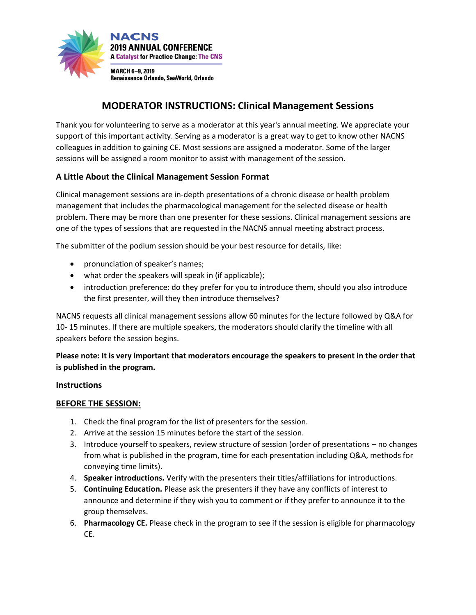

# **MODERATOR INSTRUCTIONS: Clinical Management Sessions**

Thank you for volunteering to serve as a moderator at this year's annual meeting. We appreciate your support of this important activity. Serving as a moderator is a great way to get to know other NACNS colleagues in addition to gaining CE. Most sessions are assigned a moderator. Some of the larger sessions will be assigned a room monitor to assist with management of the session.

### **A Little About the Clinical Management Session Format**

Clinical management sessions are in-depth presentations of a chronic disease or health problem management that includes the pharmacological management for the selected disease or health problem. There may be more than one presenter for these sessions. Clinical management sessions are one of the types of sessions that are requested in the NACNS annual meeting abstract process.

The submitter of the podium session should be your best resource for details, like:

- pronunciation of speaker's names;
- what order the speakers will speak in (if applicable);
- introduction preference: do they prefer for you to introduce them, should you also introduce the first presenter, will they then introduce themselves?

NACNS requests all clinical management sessions allow 60 minutes for the lecture followed by Q&A for 10- 15 minutes. If there are multiple speakers, the moderators should clarify the timeline with all speakers before the session begins.

**Please note: It is very important that moderators encourage the speakers to present in the order that is published in the program.** 

#### **Instructions**

#### **BEFORE THE SESSION:**

- 1. Check the final program for the list of presenters for the session.
- 2. Arrive at the session 15 minutes before the start of the session.
- 3. Introduce yourself to speakers, review structure of session (order of presentations no changes from what is published in the program, time for each presentation including Q&A, methods for conveying time limits).
- 4. **Speaker introductions.** Verify with the presenters their titles/affiliations for introductions.
- 5. **Continuing Education.** Please ask the presenters if they have any conflicts of interest to announce and determine if they wish you to comment or if they prefer to announce it to the group themselves.
- 6. **Pharmacology CE.** Please check in the program to see if the session is eligible for pharmacology CE.